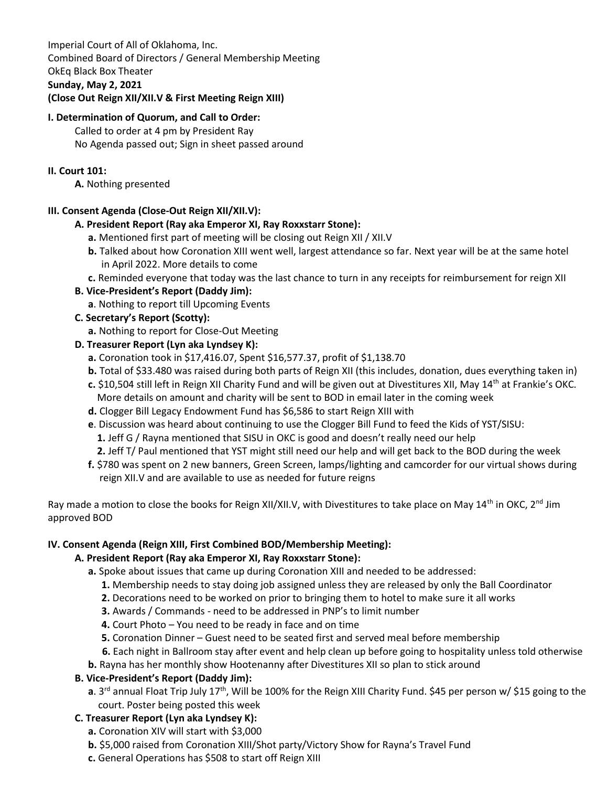Imperial Court of All of Oklahoma, Inc. Combined Board of Directors / General Membership Meeting OkEq Black Box Theater **Sunday, May 2, 2021 (Close Out Reign XII/XII.V & First Meeting Reign XIII)** 

### **I. Determination of Quorum, and Call to Order:**

Called to order at 4 pm by President Ray No Agenda passed out; Sign in sheet passed around

### **II. Court 101:**

**A.** Nothing presented

## **III. Consent Agenda (Close-Out Reign XII/XII.V):**

### **A. President Report (Ray aka Emperor XI, Ray Roxxstarr Stone):**

- **a.** Mentioned first part of meeting will be closing out Reign XII / XII.V
- **b.** Talked about how Coronation XIII went well, largest attendance so far. Next year will be at the same hotel in April 2022. More details to come
- **c.** Reminded everyone that today was the last chance to turn in any receipts for reimbursement for reign XII

### **B. Vice-President's Report (Daddy Jim):**

**a**. Nothing to report till Upcoming Events

### **C. Secretary's Report (Scotty):**

 **a.** Nothing to report for Close-Out Meeting

### **D. Treasurer Report (Lyn aka Lyndsey K):**

- **a.** Coronation took in \$17,416.07, Spent \$16,577.37, profit of \$1,138.70
- **b.** Total of \$33.480 was raised during both parts of Reign XII (this includes, donation, dues everything taken in) **c.** \$10,504 still left in Reign XII Charity Fund and will be given out at Divestitures XII, May 14th at Frankie's OKC.
	- More details on amount and charity will be sent to BOD in email later in the coming week
- **d.** Clogger Bill Legacy Endowment Fund has \$6,586 to start Reign XIII with
- **e**. Discussion was heard about continuing to use the Clogger Bill Fund to feed the Kids of YST/SISU:
	- **1.** Jeff G / Rayna mentioned that SISU in OKC is good and doesn't really need our help
	- **2.** Jeff T/ Paul mentioned that YST might still need our help and will get back to the BOD during the week
- **f.** \$780 was spent on 2 new banners, Green Screen, lamps/lighting and camcorder for our virtual shows during reign XII.V and are available to use as needed for future reigns

Ray made a motion to close the books for Reign XII/XII.V, with Divestitures to take place on May 14<sup>th</sup> in OKC, 2<sup>nd</sup> Jim approved BOD

#### **IV. Consent Agenda (Reign XIII, First Combined BOD/Membership Meeting):**

## **A. President Report (Ray aka Emperor XI, Ray Roxxstarr Stone):**

- **a.** Spoke about issues that came up during Coronation XIII and needed to be addressed:
	- **1.** Membership needs to stay doing job assigned unless they are released by only the Ball Coordinator
	- **2.** Decorations need to be worked on prior to bringing them to hotel to make sure it all works
	- **3.** Awards / Commands need to be addressed in PNP's to limit number
	- **4.** Court Photo You need to be ready in face and on time
	- **5.** Coronation Dinner Guest need to be seated first and served meal before membership
	- **6.** Each night in Ballroom stay after event and help clean up before going to hospitality unless told otherwise
- **b.** Rayna has her monthly show Hootenanny after Divestitures XII so plan to stick around

## **B. Vice-President's Report (Daddy Jim):**

**a**. 3<sup>rd</sup> annual Float Trip July 17<sup>th</sup>, Will be 100% for the Reign XIII Charity Fund. \$45 per person w/ \$15 going to the court. Poster being posted this week

## **C. Treasurer Report (Lyn aka Lyndsey K):**

- **a.** Coronation XIV will start with \$3,000
- **b.** \$5,000 raised from Coronation XIII/Shot party/Victory Show for Rayna's Travel Fund
- **c.** General Operations has \$508 to start off Reign XIII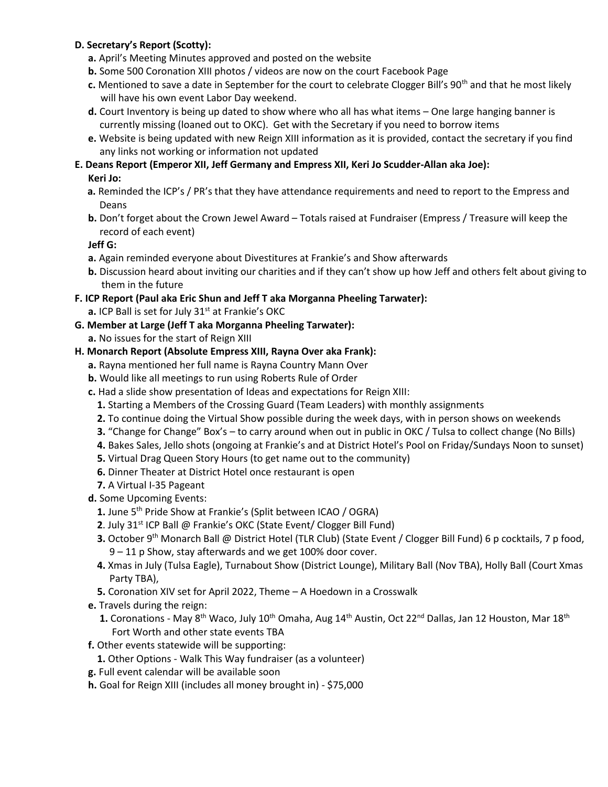# **D. Secretary's Report (Scotty):**

- **a.** April's Meeting Minutes approved and posted on the website
- **b.** Some 500 Coronation XIII photos / videos are now on the court Facebook Page
- **c.** Mentioned to save a date in September for the court to celebrate Clogger Bill's 90th and that he most likely will have his own event Labor Day weekend.
- **d.** Court Inventory is being up dated to show where who all has what items One large hanging banner is currently missing (loaned out to OKC). Get with the Secretary if you need to borrow items
- **e.** Website is being updated with new Reign XIII information as it is provided, contact the secretary if you find any links not working or information not updated
- **E. Deans Report (Emperor XII, Jeff Germany and Empress XII, Keri Jo Scudder-Allan aka Joe):**

# **Keri Jo:**

- **a.** Reminded the ICP's / PR's that they have attendance requirements and need to report to the Empress and Deans
- **b.** Don't forget about the Crown Jewel Award Totals raised at Fundraiser (Empress / Treasure will keep the record of each event)

**Jeff G:**

- **a.** Again reminded everyone about Divestitures at Frankie's and Show afterwards
- **b.** Discussion heard about inviting our charities and if they can't show up how Jeff and others felt about giving to them in the future
- **F. ICP Report (Paul aka Eric Shun and Jeff T aka Morganna Pheeling Tarwater): a.** ICP Ball is set for July 31<sup>st</sup> at Frankie's OKC
- **G. Member at Large (Jeff T aka Morganna Pheeling Tarwater):**
	- **a.** No issues for the start of Reign XIII
- **H. Monarch Report (Absolute Empress XIII, Rayna Over aka Frank):**
	- **a.** Rayna mentioned her full name is Rayna Country Mann Over
	- **b.** Would like all meetings to run using Roberts Rule of Order
	- **c.** Had a slide show presentation of Ideas and expectations for Reign XIII:
		- **1.** Starting a Members of the Crossing Guard (Team Leaders) with monthly assignments
		- **2.** To continue doing the Virtual Show possible during the week days, with in person shows on weekends
		- **3.** "Change for Change" Box's to carry around when out in public in OKC / Tulsa to collect change (No Bills)
		- **4.** Bakes Sales, Jello shots (ongoing at Frankie's and at District Hotel's Pool on Friday/Sundays Noon to sunset)
		- **5.** Virtual Drag Queen Story Hours (to get name out to the community)
		- **6.** Dinner Theater at District Hotel once restaurant is open
		- **7.** A Virtual I-35 Pageant
	- **d.** Some Upcoming Events:
		- **1.** June 5th Pride Show at Frankie's (Split between ICAO / OGRA)
		- **2.** July 31<sup>st</sup> ICP Ball @ Frankie's OKC (State Event/ Clogger Bill Fund)
		- **3.** October 9<sup>th</sup> Monarch Ball @ District Hotel (TLR Club) (State Event / Clogger Bill Fund) 6 p cocktails, 7 p food, 9 – 11 p Show, stay afterwards and we get 100% door cover.
		- **4.** Xmas in July (Tulsa Eagle), Turnabout Show (District Lounge), Military Ball (Nov TBA), Holly Ball (Court Xmas Party TBA),
		- **5.** Coronation XIV set for April 2022, Theme A Hoedown in a Crosswalk
	- **e.** Travels during the reign:
		- 1. Coronations May 8<sup>th</sup> Waco, July 10<sup>th</sup> Omaha, Aug 14<sup>th</sup> Austin, Oct 22<sup>nd</sup> Dallas, Jan 12 Houston, Mar 18<sup>th</sup> Fort Worth and other state events TBA
	- **f.** Other events statewide will be supporting:
		- **1.** Other Options Walk This Way fundraiser (as a volunteer)
	- **g.** Full event calendar will be available soon
	- **h.** Goal for Reign XIII (includes all money brought in) \$75,000